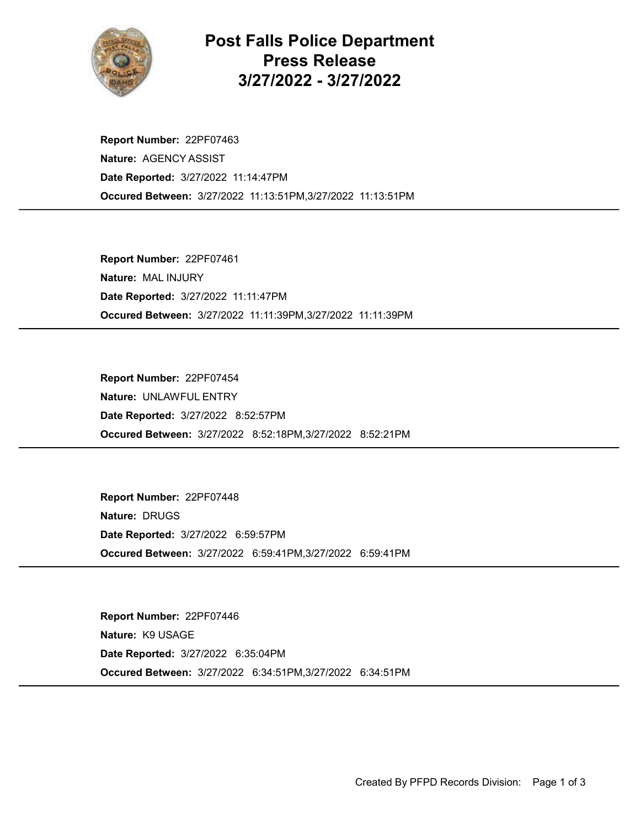

## Post Falls Police Department Press Release 3/27/2022 - 3/27/2022

Occured Between: 3/27/2022 11:13:51PM,3/27/2022 11:13:51PM Report Number: 22PF07463 Nature: AGENCY ASSIST Date Reported: 3/27/2022 11:14:47PM

Occured Between: 3/27/2022 11:11:39PM,3/27/2022 11:11:39PM Report Number: 22PF07461 Nature: MAL INJURY Date Reported: 3/27/2022 11:11:47PM

Occured Between: 3/27/2022 8:52:18PM,3/27/2022 8:52:21PM Report Number: 22PF07454 Nature: UNLAWFUL ENTRY Date Reported: 3/27/2022 8:52:57PM

Occured Between: 3/27/2022 6:59:41PM,3/27/2022 6:59:41PM Report Number: 22PF07448 Nature: DRUGS Date Reported: 3/27/2022 6:59:57PM

Occured Between: 3/27/2022 6:34:51PM,3/27/2022 6:34:51PM Report Number: 22PF07446 Nature: K9 USAGE Date Reported: 3/27/2022 6:35:04PM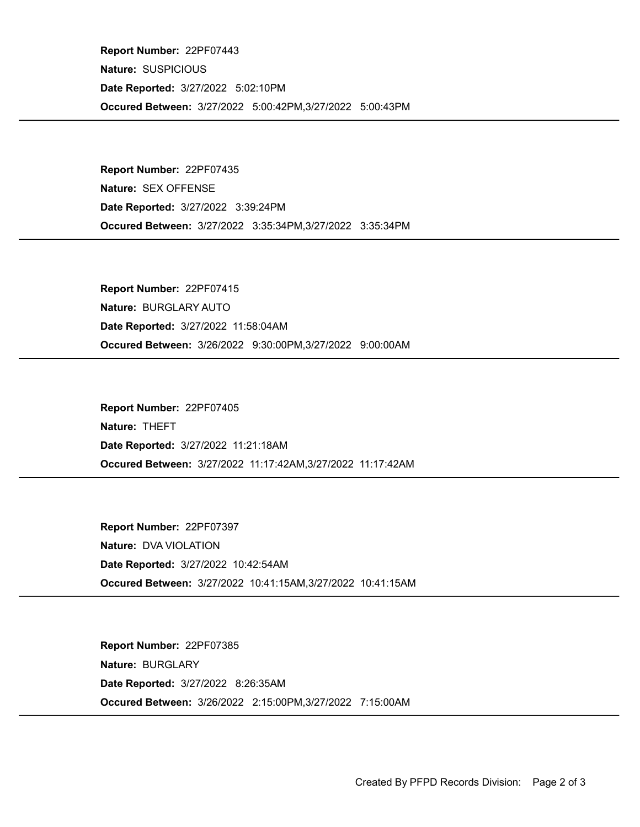Occured Between: 3/27/2022 5:00:42PM,3/27/2022 5:00:43PM Report Number: 22PF07443 Nature: SUSPICIOUS Date Reported: 3/27/2022 5:02:10PM

Occured Between: 3/27/2022 3:35:34PM,3/27/2022 3:35:34PM Report Number: 22PF07435 Nature: SEX OFFENSE Date Reported: 3/27/2022 3:39:24PM

Occured Between: 3/26/2022 9:30:00PM,3/27/2022 9:00:00AM Report Number: 22PF07415 Nature: BURGLARY AUTO Date Reported: 3/27/2022 11:58:04AM

Occured Between: 3/27/2022 11:17:42AM,3/27/2022 11:17:42AM Report Number: 22PF07405 Nature: THEFT Date Reported: 3/27/2022 11:21:18AM

Occured Between: 3/27/2022 10:41:15AM,3/27/2022 10:41:15AM Report Number: 22PF07397 Nature: DVA VIOLATION Date Reported: 3/27/2022 10:42:54AM

Occured Between: 3/26/2022 2:15:00PM,3/27/2022 7:15:00AM Report Number: 22PF07385 Nature: BURGLARY Date Reported: 3/27/2022 8:26:35AM